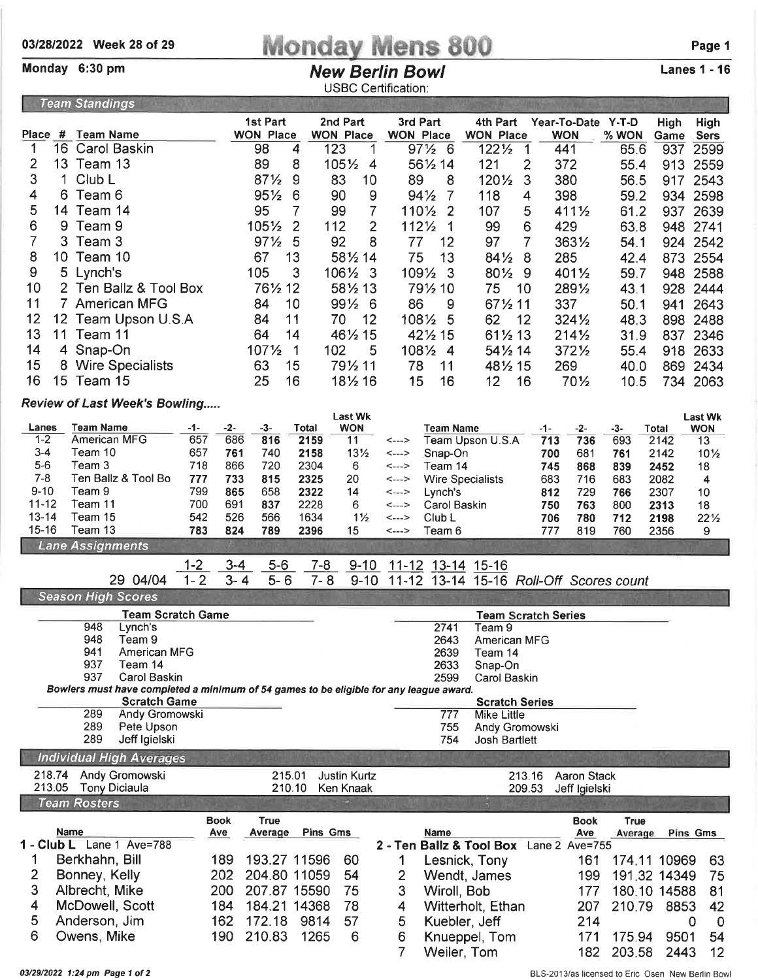## $\frac{03/28/2022}{\text{Moday } 6:30 \text{ pm}}$  Monday Mens 800 Page 1

**Team Standings** 

## **New Berlin Bowl** USBC Certification:

Lanes 1 - 16

|                     |                                                                                        |                          | 1st Part               |                  | 2nd Part                         | 3rd Part                                  | 4th Part                                | Year-To-Date Y-T-D           |                  | <b>High</b>  | High                         |
|---------------------|----------------------------------------------------------------------------------------|--------------------------|------------------------|------------------|----------------------------------|-------------------------------------------|-----------------------------------------|------------------------------|------------------|--------------|------------------------------|
| Place #<br>1        | Team Name<br>16 Carol Baskin                                                           |                          | <b>WON Place</b><br>98 | 4                | <b>WON Place</b><br>123<br>1     | <b>WON Place</b><br>971/2 6               | <b>WON Place</b><br>1221/2              | <b>WON</b><br>441            | $%$ WON          | Game         | Sers                         |
|                     | 13 Team 13                                                                             |                          |                        |                  |                                  |                                           | 1                                       |                              | 65.6             | 937          | 2599                         |
| 2                   |                                                                                        |                          | 89                     | 8                | 1051/2<br>$\overline{4}$         | 561/2 14                                  | 121<br>2                                | 372                          | 55.4             | 913          | 2559                         |
| 3                   | Club L<br>1                                                                            |                          | $87\frac{1}{2}$        | 9                | 83<br>10                         | 89<br>8                                   | 1201/2<br>3                             | 380                          | 56.5             | 917          | 2543                         |
| 4                   | 6<br>Team 6                                                                            |                          | $95\%$                 | 6                | 9<br>90                          | $94\frac{1}{2}$<br>7                      | 118<br>4                                | 398                          | 59.2             | 934 2598     |                              |
| 5<br>14             | Team 14                                                                                |                          | 95                     | 7                | 99<br>7                          | 1101/2<br>2                               | 107<br>5                                | $411\frac{1}{2}$             | 61.2             | 937 2639     |                              |
| 6                   | 9<br>Team 9                                                                            |                          | 1051/2                 | $\overline{2}$   | 2<br>112                         | 1121/2<br>1                               | 99<br>6                                 | 429                          | 63.8             | 948 2741     |                              |
| 7                   | 3<br>Team 3                                                                            |                          | $97\frac{1}{2}$        | 5                | 92<br>8                          | 77<br>12                                  | 97<br>7                                 | 3631/2                       | 54.1             | 924 2542     |                              |
| 8                   | 10 Team 10                                                                             |                          | 67                     | 13               | 581/2 14                         | 75<br>13                                  | 841/2<br>8                              | 285                          | 42.4             | 873 2554     |                              |
| 9                   | 5 Lynch's                                                                              |                          | 105                    | 3                | 106½<br>3                        | 1091/2<br>-3                              | 801/2<br>-9                             | 4011/2                       | 59.7             | 948 2588     |                              |
| 10                  | 2 Ten Ballz & Tool Box                                                                 |                          | 761/2 12               |                  | 581/2 13                         | 791/2 10                                  | 75<br>10                                | 2891/2                       | 43.1             | 928 2444     |                              |
| 11                  | 7 American MFG                                                                         |                          |                        | 10               | $99\frac{1}{2}6$                 | 86<br>9                                   | 671/2 11                                | 337                          | 50.1             | 941          | 2643                         |
| 12                  | 12 Team Upson U.S.A                                                                    |                          | 84                     | 11               | 70<br>12                         | 1081/2<br>5                               | 62<br>12                                | 3241/2                       | 48.3             | 898          | 2488                         |
| 13                  | 11 Team 11                                                                             |                          | 64                     | 14               | 461/2 15                         | 421/2 15                                  | 611/2 13                                | $214\frac{1}{2}$             | 31.9             | 837 2346     |                              |
| 14                  | 4 Snap-On                                                                              |                          | 1071/2                 | 1                | 102<br>5                         | 1081/2<br>-4                              | 541/2 14                                | 3721/2                       | 55.4             | 918          | 2633                         |
| 15                  | 8 Wire Specialists                                                                     |                          | 63                     | 15               | 791/2 11                         | 78<br>11                                  | 481/2 15                                | 269                          | 40.0             | 869          | 2434                         |
| 16                  | 15 Team 15                                                                             |                          | 25                     | 16               | 181/2 16                         | 15<br>16                                  | 12<br>16                                | 701/2                        | 10.5             | 734 2063     |                              |
|                     |                                                                                        |                          |                        |                  |                                  |                                           |                                         |                              |                  |              |                              |
|                     | <b>Review of Last Week's Bowling</b>                                                   |                          |                        |                  | <b>Last Wk</b>                   |                                           |                                         |                              |                  |              |                              |
| Lanes               | <b>Team Name</b>                                                                       | $-2-$<br>-1-             | -3-                    | Total            | <b>WON</b>                       | Team Name                                 |                                         | $-2-$<br>-1-                 | $-3-$            | Total        | <b>Last Wk</b><br><b>WON</b> |
| $1 - 2$             | American MFG                                                                           | 657<br>686               | 816                    | 2159             | 11                               | <--->                                     | Team Upson U.S.A                        | 736<br>713                   | 693              | 2142         | 13                           |
| $3 - 4$             | Team 10                                                                                | 657<br>761               | 740                    | 2158             | $13\frac{1}{2}$                  | Snap-On<br><--->                          |                                         | 700<br>681                   | 761              | 2142         | $10\frac{1}{2}$              |
| $5-6$               | Team 3                                                                                 | 718<br>866               | 720                    | 2304             | 6                                | Team 14<br><--->                          |                                         | 745<br>868                   | 839              | 2452         | 18                           |
| $7 - 8$<br>$9 - 10$ | Ten Ballz & Tool Bo<br>Team 9                                                          | 733<br>777<br>799<br>865 | 815                    | 2325             | 20                               | <--->                                     | <b>Wire Specialists</b>                 | 683<br>716                   | 683              | 2082         | 4                            |
| $11 - 12$           | Team 11                                                                                | 700<br>691               | 658<br>837             | 2322<br>2228     | 14<br>6                          | Lynch's<br><---><br>Carol Baskin<br><---> |                                         | 729<br>812<br>763<br>750     | 766<br>800       | 2307<br>2313 | 10<br>18                     |
| $13 - 14$           | Team 15                                                                                | 542                      | 526<br>566             | 1634             | $1\frac{1}{2}$                   | Club L<br><--->                           |                                         | 780<br>706                   | 712              | 2198         | $22\frac{1}{2}$              |
| $15 - 16$           | Team 13                                                                                | 783<br>824               | 789                    | 2396             | 15                               | Team 6<br><--->                           |                                         | 777<br>819                   | 760              | 2356         | 9                            |
|                     | <b>Lane Assignments</b>                                                                |                          |                        |                  |                                  |                                           |                                         |                              |                  |              |                              |
|                     |                                                                                        |                          |                        |                  |                                  |                                           |                                         |                              |                  |              |                              |
|                     |                                                                                        | $1 - 2$                  | $3 - 4$<br>$5-6$       |                  | $7 - 8$<br>$9 - 10$              |                                           |                                         |                              |                  |              |                              |
|                     | 29 04/04                                                                               | $1 - 2$                  | $3 - 4$<br>$5 - 6$     |                  | $7 - 8$<br>$9 - 10$              | <u>11-12 13-14 15-16</u>                  | 11-12 13-14 15-16 Roll-Off Scores count |                              |                  |              |                              |
|                     | <b>Season High Scores</b>                                                              |                          |                        |                  |                                  |                                           |                                         |                              |                  |              |                              |
|                     | <b>Team Scratch Game</b>                                                               |                          |                        |                  |                                  |                                           |                                         | <b>Team Scratch Series</b>   |                  |              |                              |
|                     | 948<br>Lynch's                                                                         |                          |                        |                  |                                  | 2741                                      | Team 9                                  |                              |                  |              |                              |
|                     | 948<br>Team 9                                                                          |                          |                        |                  |                                  | 2643                                      | <b>American MFG</b>                     |                              |                  |              |                              |
|                     | 941<br>American MFG                                                                    |                          |                        |                  |                                  | 2639                                      | Team 14                                 |                              |                  |              |                              |
|                     | 937<br>Team 14<br>937<br><b>Carol Baskin</b>                                           |                          |                        |                  |                                  | 2633<br>2599                              | Snap-On                                 |                              |                  |              |                              |
|                     | Bowlers must have completed a minimum of 54 games to be eligible for any league award. |                          |                        |                  |                                  |                                           | Carol Baskin                            |                              |                  |              |                              |
|                     | <b>Scratch Game</b>                                                                    |                          |                        |                  |                                  |                                           | <b>Scratch Series</b>                   |                              |                  |              |                              |
|                     | 289<br>Andy Gromowski                                                                  |                          |                        |                  |                                  | 777                                       | <b>Mike Little</b>                      |                              |                  |              |                              |
|                     | 289<br>Pete Upson<br>289                                                               |                          |                        |                  |                                  | 755<br>754                                | Andy Gromowski                          |                              |                  |              |                              |
|                     | Jeff Igielski                                                                          |                          |                        |                  |                                  |                                           | <b>Josh Bartlett</b>                    |                              |                  |              |                              |
|                     | <b>Individual High Averages</b>                                                        |                          |                        |                  |                                  |                                           |                                         |                              |                  |              |                              |
| 218.74<br>213.05    | Andy Gromowski<br><b>Tony Diciaula</b>                                                 |                          |                        | 215.01<br>210.10 | <b>Justin Kurtz</b><br>Ken Knaak |                                           | 213.16<br>209.53                        | Aaron Stack<br>Jeff Igielski |                  |              |                              |
|                     | <b>Team Rosters</b>                                                                    |                          |                        |                  |                                  |                                           |                                         |                              |                  |              |                              |
|                     |                                                                                        | <b>Book</b>              | <b>True</b>            |                  |                                  |                                           |                                         | <b>Book</b>                  | <b>True</b>      |              |                              |
|                     | Name                                                                                   | Ave                      | Average                |                  | <b>Pins Gms</b>                  | Name                                      |                                         | Ave                          | Average          | Pins Gms     |                              |
|                     | 1 - Club L Lane 1 Ave=788                                                              |                          |                        |                  |                                  | 2 - Ten Ballz & Tool Box Lane 2 Ave=755   |                                         |                              |                  |              |                              |
| 1                   | Berkhahn, Bill                                                                         | 189                      | 193.27 11596           |                  | 60                               | 1                                         | Lesnick, Tony                           | 161                          | 174.11 10969     |              | 63                           |
| 2                   | Bonney, Kelly                                                                          | 202                      | 204.80 11059           |                  | 54                               | 2                                         | Wendt, James                            | 199                          | 191.32 14349     |              | 75                           |
| З                   | Albrecht, Mike                                                                         | 200                      | 207.87 15590           |                  | 75                               | 3                                         | Wiroll, Bob                             | 177                          | 180.10 14588     |              | 81                           |
| 4                   | McDowell, Scott                                                                        | 184                      | 184.21 14368           |                  | 78                               | 4                                         | Witterholt, Ethan                       | 207                          | 210.79           | 8853         | 42                           |
| 5                   | Anderson, Jim                                                                          | 162                      | 172.18                 | 9814             | 57                               | 5                                         | Kuebler, Jeff                           | 214                          |                  | 0            | $\mathbf 0$                  |
| 6                   | Owens, Mike                                                                            | 190                      | 210.83                 | 1265             | 6                                | 6<br>7                                    | Knueppel, Tom<br>Weiler, Tom            | 171<br>182                   | 175.94<br>203.58 | 9501<br>2443 | 54<br>12                     |